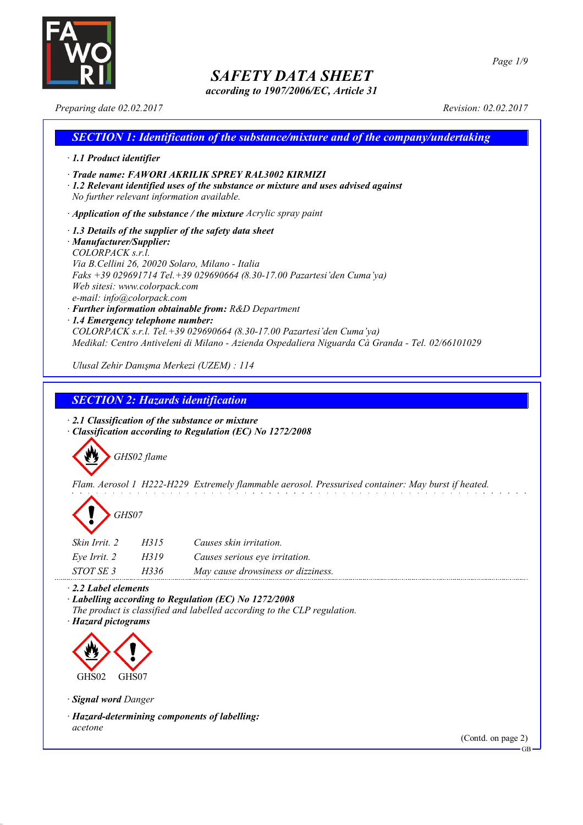

*according to 1907/2006/EC, Article 31*

*Preparing date 02.02.2017 Revision: 02.02.2017*

| <b>SECTION 1: Identification of the substance/mixture and of the company/undertaking</b>                                                                                                                                                                                                                                                                                                                                                                                                                                                                                                         |
|--------------------------------------------------------------------------------------------------------------------------------------------------------------------------------------------------------------------------------------------------------------------------------------------------------------------------------------------------------------------------------------------------------------------------------------------------------------------------------------------------------------------------------------------------------------------------------------------------|
| $\cdot$ 1.1 Product identifier                                                                                                                                                                                                                                                                                                                                                                                                                                                                                                                                                                   |
| · Trade name: FAWORI AKRILIK SPREY RAL3002 KIRMIZI<br>$\cdot$ 1.2 Relevant identified uses of the substance or mixture and uses advised against<br>No further relevant information available.                                                                                                                                                                                                                                                                                                                                                                                                    |
| $\cdot$ Application of the substance / the mixture Acrylic spray paint                                                                                                                                                                                                                                                                                                                                                                                                                                                                                                                           |
| $\cdot$ 1.3 Details of the supplier of the safety data sheet<br>· Manufacturer/Supplier:<br>$COLORPACK$ s.r.l.<br>Via B.Cellini 26, 20020 Solaro, Milano - Italia<br>Faks +39 029691714 Tel. +39 029690664 (8.30-17.00 Pazartesi'den Cuma'ya)<br>Web sitesi: www.colorpack.com<br>e-mail: info@colorpack.com<br>· Further information obtainable from: R&D Department<br>$\cdot$ 1.4 Emergency telephone number:<br>$COLORPACK$ s.r.l. Tel. +39 029690664 (8.30-17.00 Pazartesi'den Cuma'ya)<br>Medikal: Centro Antiveleni di Milano - Azienda Ospedaliera Niguarda Cà Granda - Tel. 02/66101029 |
| Ulusal Zehir Danışma Merkezi (UZEM) : 114                                                                                                                                                                                                                                                                                                                                                                                                                                                                                                                                                        |

*SECTION 2: Hazards identification*

*· 2.1 Classification of the substance or mixture · Classification according to Regulation (EC) No 1272/2008*



*Flam. Aerosol 1 H222-H229 Extremely flammable aerosol. Pressurised container: May burst if heated.*



| Skin Irrit. 2 | H315 | Causes skin irritation.            |
|---------------|------|------------------------------------|
| Eye Irrit. 2  | H319 | Causes serious eye irritation.     |
| STOT SE 3     | H336 | May cause drowsiness or dizziness. |

*· 2.2 Label elements*

*· Labelling according to Regulation (EC) No 1272/2008 The product is classified and labelled according to the CLP regulation.*

*· Hazard pictograms*



*· Signal word Danger*

*· Hazard-determining components of labelling: acetone*

(Contd. on page 2)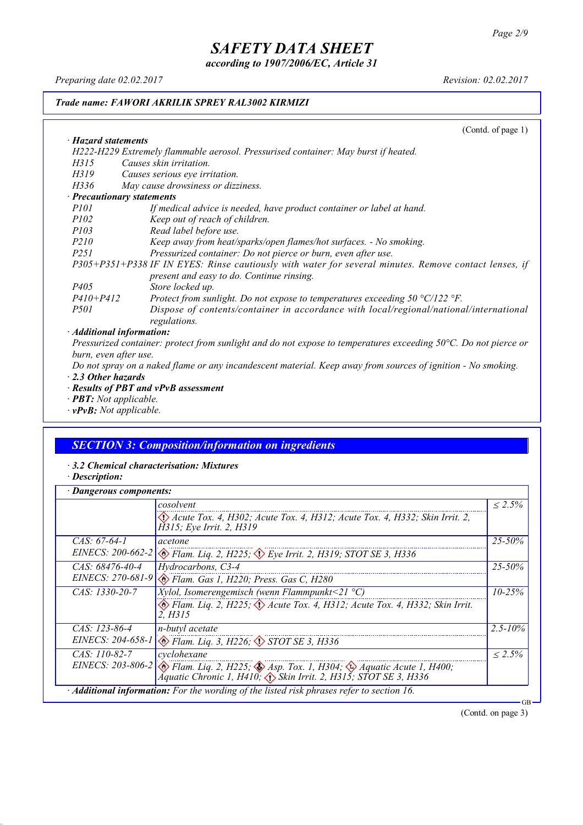*according to 1907/2006/EC, Article 31*

*Preparing date 02.02.2017 Revision: 02.02.2017*

#### *Trade name: FAWORI AKRILIK SPREY RAL3002 KIRMIZI*

(Contd. of page 1) *· Hazard statements H222-H229 Extremely flammable aerosol. Pressurised container: May burst if heated. H315 Causes skin irritation. H319 Causes serious eye irritation. H336 May cause drowsiness or dizziness. · Precautionary statements P101 If medical advice is needed, have product container or label at hand. P102 Keep out of reach of children. P103 Read label before use. P210 Keep away from heat/sparks/open flames/hot surfaces. - No smoking. P251 Pressurized container: Do not pierce or burn, even after use. P305+P351+P338 IF IN EYES: Rinse cautiously with water for several minutes. Remove contact lenses, if present and easy to do. Continue rinsing. P405 Store locked up.*<br>*P410+P412 Protect from sure P410+P412 Protect from sunlight. Do not expose to temperatures exceeding 50 °C/122 °F. P501 Dispose of contents/container in accordance with local/regional/national/international regulations. · Additional information:*

Pressurized container: protect from sunlight and do not expose to temperatures exceeding 50°C. Do not pierce or *burn, even after use.*

Do not spray on a naked flame or any incandescent material. Keep away from sources of ignition - No smoking. *· 2.3 Other hazards*

- *· Results of PBT and vPvB assessment*
- *· PBT: Not applicable.*
- *· vPvB: Not applicable.*

### *SECTION 3: Composition/information on ingredients*

- *· 3.2 Chemical characterisation: Mixtures*
- *· Description:*

| Dangerous components: |                                                                                                                                                                                                  |              |
|-----------------------|--------------------------------------------------------------------------------------------------------------------------------------------------------------------------------------------------|--------------|
|                       | cosolvent                                                                                                                                                                                        | $< 2.5\%$    |
|                       | $\langle \rangle$ Acute Tox. 4, H302; Acute Tox. 4, H312; Acute Tox. 4, H332; Skin Irrit. 2,<br>H315; Eye Irrit. 2, H319                                                                         |              |
| $CAS: 67-64-1$        | acetone                                                                                                                                                                                          | $25 - 50\%$  |
|                       | EINECS: 200-662-2 & Flam. Liq. 2, H225; $\Diamond$ Eye Irrit. 2, H319; STOT SE 3, H336                                                                                                           |              |
| $CAS: 68476-40-4$     | Hydrocarbons, C3-4                                                                                                                                                                               | $25 - 50\%$  |
|                       | EINECS: 270-681-9 & Flam. Gas 1, H220; Press. Gas C, H280                                                                                                                                        |              |
| $CAS: 1330-20-7$      | <i>Xylol, Isomerengemisch (wenn Flammpunkt</i> <21 $^{\circ}$ C)                                                                                                                                 | $10 - 25\%$  |
|                       | $\otimes$ Flam. Lig. 2, H225; $\otimes$ Acute Tox. 4, H312; Acute Tox. 4, H332; Skin Irrit.<br>2. H315                                                                                           |              |
| $CAS: 123-86-4$       | n-butyl acetate                                                                                                                                                                                  | $2.5 - 10\%$ |
|                       | EINECS: 204-658-1 & Flam. Liq. 3, H226; STOT SE 3, H336                                                                                                                                          |              |
| CAS: 110-82-7         | cyclohexane                                                                                                                                                                                      | $< 2.5\%$    |
|                       | EINECS: 203-806-2 $\otimes$ Flam. Liq. 2, H225; $\otimes$ Asp. Tox. 1, H304; $\otimes$ Aquatic Acute 1, H400;<br>Aquatic Chronic 1, H410; $\langle \rangle$ Skin Irrit. 2, H315; STOT SE 3, H336 |              |
|                       | Additional information: For the wording of the listed risk phrases refer to section 16.                                                                                                          | GB           |

(Contd. on page 3)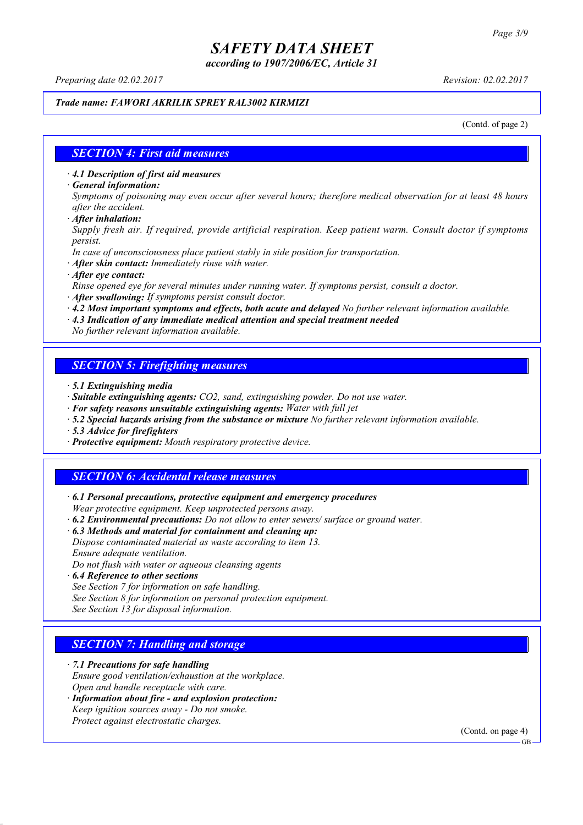*according to 1907/2006/EC, Article 31*

*Preparing date 02.02.2017 Revision: 02.02.2017*

#### *Trade name: FAWORI AKRILIK SPREY RAL3002 KIRMIZI*

(Contd. of page 2)

#### *SECTION 4: First aid measures*

*· 4.1 Description of first aid measures*

*· General information:*

Symptoms of poisoning may even occur after several hours; therefore medical observation for at least 48 hours *after the accident.*

*· After inhalation:*

*Supply fresh air. If required, provide artificial respiration. Keep patient warm. Consult doctor if symptoms persist.*

*In case of unconsciousness place patient stably in side position for transportation.*

- *· After skin contact: Immediately rinse with water.*
- *· After eye contact:*

*Rinse opened eye for several minutes under running water. If symptoms persist, consult a doctor.*

*· After swallowing: If symptoms persist consult doctor.*

*· 4.2 Most important symptoms and effects, both acute and delayed No further relevant information available.*

*· 4.3 Indication of any immediate medical attention and special treatment needed*

*No further relevant information available.*

### *SECTION 5: Firefighting measures*

- *· 5.1 Extinguishing media*
- *· Suitable extinguishing agents: CO2, sand, extinguishing powder. Do not use water.*
- *· For safety reasons unsuitable extinguishing agents: Water with full jet*
- *· 5.2 Special hazards arising from the substance or mixture No further relevant information available.*
- *· 5.3 Advice for firefighters*
- *· Protective equipment: Mouth respiratory protective device.*

### *SECTION 6: Accidental release measures*

*· 6.1 Personal precautions, protective equipment and emergency procedures Wear protective equipment. Keep unprotected persons away.*

*· 6.2 Environmental precautions: Do not allow to enter sewers/ surface or ground water.*

*· 6.3 Methods and material for containment and cleaning up:*

*Dispose contaminated material as waste according to item 13. Ensure adequate ventilation.*

*Do not flush with water or aqueous cleansing agents*

- *· 6.4 Reference to other sections*
- *See Section 7 for information on safe handling.*

*See Section 8 for information on personal protection equipment.*

*See Section 13 for disposal information.*

#### *SECTION 7: Handling and storage*

*· 7.1 Precautions for safe handling*

*Ensure good ventilation/exhaustion at the workplace.*

*Open and handle receptacle with care.*

*· Information about fire - and explosion protection: Keep ignition sources away - Do not smoke.*

*Protect against electrostatic charges.*

(Contd. on page 4)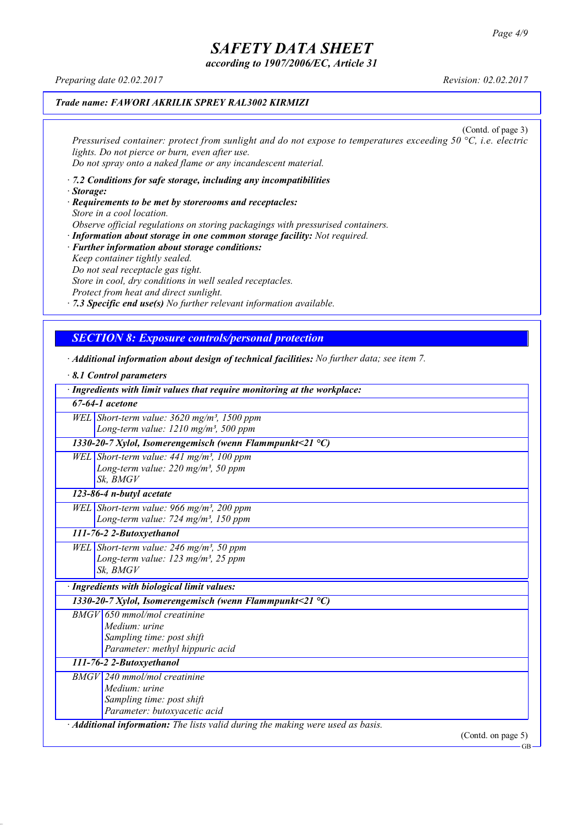*according to 1907/2006/EC, Article 31*

*Preparing date 02.02.2017 Revision: 02.02.2017*

#### *Trade name: FAWORI AKRILIK SPREY RAL3002 KIRMIZI*

(Contd. of page 3) *Pressurised container: protect from sunlight and do not expose to temperatures exceeding 50 °C, i.e. electric lights. Do not pierce or burn, even after use. Do not spray onto a naked flame or any incandescent material.*

- *· 7.2 Conditions for safe storage, including any incompatibilities · Storage:*
- *· Requirements to be met by storerooms and receptacles: Store in a cool location. Observe official regulations on storing packagings with pressurised containers.*
- *· Information about storage in one common storage facility: Not required. · Further information about storage conditions: Keep container tightly sealed. Do not seal receptacle gas tight. Store in cool, dry conditions in well sealed receptacles. Protect from heat and direct sunlight.*

*· 7.3 Specific end use(s) No further relevant information available.*

## *SECTION 8: Exposure controls/personal protection*

- *· Additional information about design of technical facilities: No further data; see item 7.*
- *· 8.1 Control parameters · Ingredients with limit values that require monitoring at the workplace: 67-64-1 acetone WEL Short-term value: 3620 mg/m³, 1500 ppm Long-term value: 1210 mg/m³, 500 ppm 1330-20-7 Xylol, Isomerengemisch (wenn Flammpunkt<21 °C) WEL Short-term value: 441 mg/m³, 100 ppm Long-term value: 220 mg/m³, 50 ppm Sk, BMGV 123-86-4 n-butyl acetate WEL Short-term value: 966 mg/m³, 200 ppm Long-term value: 724 mg/m³, 150 ppm 111-76-2 2-Butoxyethanol WEL Short-term value: 246 mg/m³, 50 ppm Long-term value: 123 mg/m³, 25 ppm Sk, BMGV · Ingredients with biological limit values: 1330-20-7 Xylol, Isomerengemisch (wenn Flammpunkt<21 °C) BMGV 650 mmol/mol creatinine Medium: urine Sampling time: post shift Parameter: methyl hippuric acid 111-76-2 2-Butoxyethanol BMGV 240 mmol/mol creatinine Medium: urine Sampling time: post shift Parameter: butoxyacetic acid · Additional information: The lists valid during the making were used as basis.* (Contd. on page 5)

GB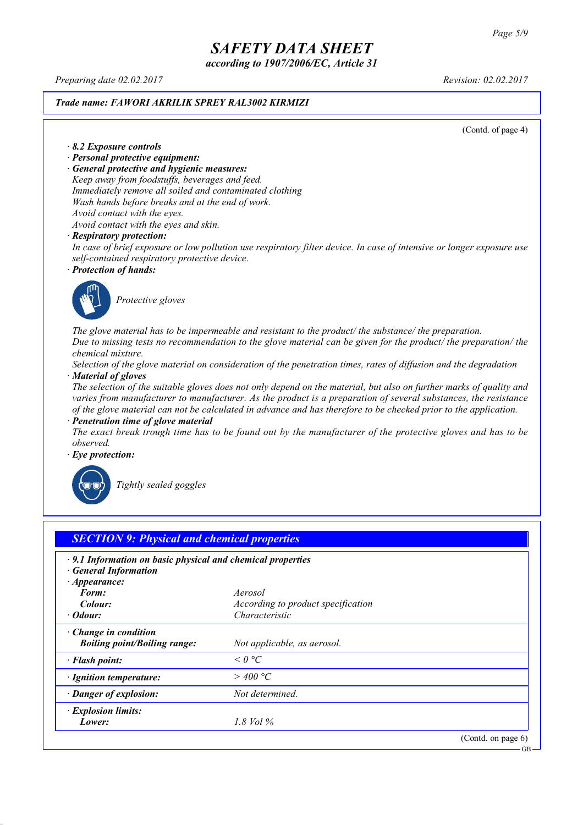*according to 1907/2006/EC, Article 31*

*Preparing date 02.02.2017 Revision: 02.02.2017*

#### *Trade name: FAWORI AKRILIK SPREY RAL3002 KIRMIZI*

(Contd. of page 4)

#### *· 8.2 Exposure controls*

- *· Personal protective equipment:*
- *· General protective and hygienic measures:*

*Keep away from foodstuffs, beverages and feed. Immediately remove all soiled and contaminated clothing Wash hands before breaks and at the end of work. Avoid contact with the eyes.*

*Avoid contact with the eyes and skin.*

#### *· Respiratory protection:*

In case of brief exposure or low pollution use respiratory filter device. In case of intensive or longer exposure use *self-contained respiratory protective device.*

*· Protection of hands:*



*Protective gloves*

*The glove material has to be impermeable and resistant to the product/ the substance/ the preparation.* Due to missing tests no recommendation to the glove material can be given for the product/ the preparation/ the *chemical mixture.*

Selection of the glove material on consideration of the penetration times, rates of diffusion and the degradation *· Material of gloves*

The selection of the suitable gloves does not only depend on the material, but also on further marks of quality and *varies from manufacturer to manufacturer. As the product is a preparation of several substances, the resistance* of the glove material can not be calculated in advance and has therefore to be checked prior to the application.

*· Penetration time of glove material*

The exact break trough time has to be found out by the manufacturer of the protective gloves and has to be *observed.*

*· Eye protection:*



*Tightly sealed goggles*

| $\cdot$ 9.1 Information on basic physical and chemical properties<br><b>General Information</b> |                                    |  |
|-------------------------------------------------------------------------------------------------|------------------------------------|--|
| $\cdot$ Appearance:<br>Form:                                                                    | Aerosol                            |  |
| Colour:                                                                                         | According to product specification |  |
| · Odour:                                                                                        | Characteristic                     |  |
| $\cdot$ Change in condition<br><b>Boiling point/Boiling range:</b>                              | Not applicable, as aerosol.        |  |
| · Flash point:                                                                                  | $\leq$ 0 °C                        |  |
| · Ignition temperature:                                                                         | $>$ 400 °C                         |  |
| · Danger of explosion:                                                                          | Not determined.                    |  |
| · Explosion limits:                                                                             |                                    |  |
| Lower:                                                                                          | 1.8 Vol %                          |  |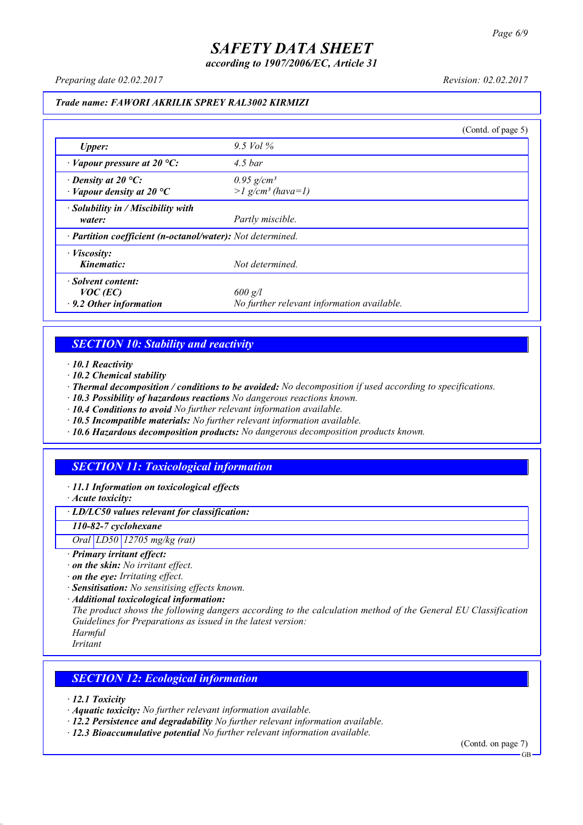*according to 1907/2006/EC, Article 31*

*Preparing date 02.02.2017 Revision: 02.02.2017*

#### *Trade name: FAWORI AKRILIK SPREY RAL3002 KIRMIZI*

|                                                                 |                                                             | (Contd. of page 5) |
|-----------------------------------------------------------------|-------------------------------------------------------------|--------------------|
| Upper:                                                          | 9.5 Vol $\%$                                                |                    |
| $\cdot$ Vapour pressure at 20 °C:                               | $4.5\,bar$                                                  |                    |
| $\cdot$ Density at 20 °C:<br>$\cdot$ Vapour density at 20 °C    | $0.95$ g/cm <sup>3</sup><br>$>l$ g/cm <sup>3</sup> (hava=1) |                    |
| · Solubility in / Miscibility with<br>water:                    | Partly miscible.                                            |                    |
| · Partition coefficient (n-octanol/water): Not determined.      |                                                             |                    |
| $\cdot$ <i>Viscosity:</i><br>Kinematic:                         | Not determined.                                             |                    |
| Solvent content:<br>$VOC$ (EC)<br>$\cdot$ 9.2 Other information | $600$ g/l<br>No further relevant information available.     |                    |

### *SECTION 10: Stability and reactivity*

*· 10.1 Reactivity*

- *· 10.2 Chemical stability*
- *· Thermal decomposition / conditions to be avoided: No decomposition if used according to specifications.*
- *· 10.3 Possibility of hazardous reactions No dangerous reactions known.*
- *· 10.4 Conditions to avoid No further relevant information available.*
- *· 10.5 Incompatible materials: No further relevant information available.*
- *· 10.6 Hazardous decomposition products: No dangerous decomposition products known.*

## *SECTION 11: Toxicological information*

*· 11.1 Information on toxicological effects*

*· Acute toxicity:*

*· LD/LC50 values relevant for classification:*

*110-82-7 cyclohexane*

*Oral LD50 12705 mg/kg (rat)*

- *· Primary irritant effect:*
- *· on the skin: No irritant effect.*
- *· on the eye: Irritating effect.*
- *· Sensitisation: No sensitising effects known.*
- *· Additional toxicological information:*

*The product shows the following dangers according to the calculation method of the General EU Classification Guidelines for Preparations as issued in the latest version:*

*Harmful*

*Irritant*

#### *SECTION 12: Ecological information*

*· 12.1 Toxicity*

- *· Aquatic toxicity: No further relevant information available.*
- *· 12.2 Persistence and degradability No further relevant information available.*
- *· 12.3 Bioaccumulative potential No further relevant information available.*

(Contd. on page 7)

**GB**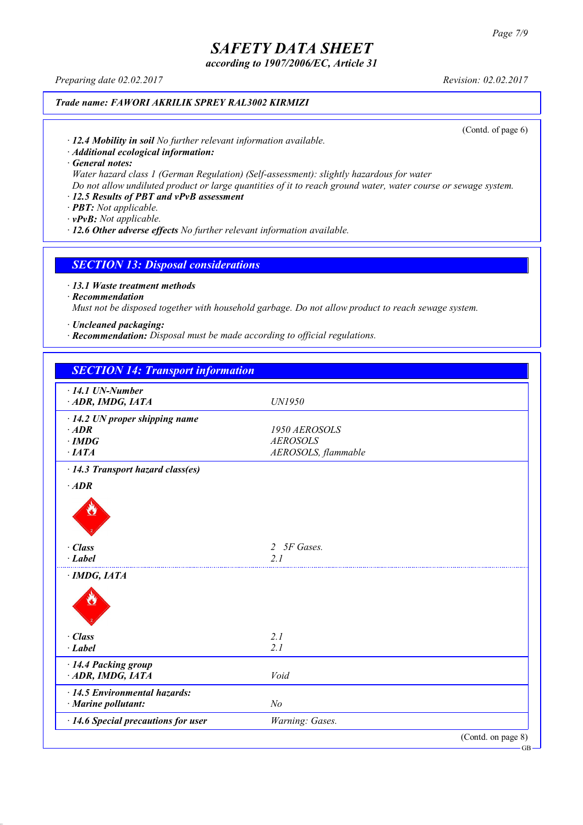*according to 1907/2006/EC, Article 31*

*Preparing date 02.02.2017 Revision: 02.02.2017*

### *Trade name: FAWORI AKRILIK SPREY RAL3002 KIRMIZI*

(Contd. of page 6)

*· 12.4 Mobility in soil No further relevant information available.*

*· Additional ecological information:*

*· General notes:*

*Water hazard class 1 (German Regulation) (Self-assessment): slightly hazardous for water*

Do not allow undiluted product or large quantities of it to reach ground water, water course or sewage system.

### *· 12.5 Results of PBT and vPvB assessment*

*· PBT: Not applicable.*

*· vPvB: Not applicable.*

*· 12.6 Other adverse effects No further relevant information available.*

#### *SECTION 13: Disposal considerations*

*· 13.1 Waste treatment methods*

*· Recommendation*

*Must not be disposed together with household garbage. Do not allow product to reach sewage system.*

*· Uncleaned packaging:*

*· Recommendation: Disposal must be made according to official regulations.*

| <b>SECTION 14: Transport information</b>  |                             |                    |
|-------------------------------------------|-----------------------------|--------------------|
| $\cdot$ 14.1 UN-Number                    |                             |                    |
| ADR, IMDG, IATA                           | UN1950                      |                    |
| $\cdot$ 14.2 UN proper shipping name      |                             |                    |
| $·$ <i>ADR</i>                            | 1950 AEROSOLS               |                    |
| $\cdot$ IMDG                              | <b>AEROSOLS</b>             |                    |
| $\cdot$ IATA                              | AEROSOLS, flammable         |                    |
| · 14.3 Transport hazard class(es)         |                             |                    |
| $\cdot$ ADR                               |                             |                    |
|                                           |                             |                    |
| · Class                                   | 5F Gases.<br>$\overline{2}$ |                    |
| $\cdot$ Label                             | 2 <sub>1</sub>              |                    |
| $\cdot$ IMDG, IATA                        |                             |                    |
|                                           |                             |                    |
| $\cdot$ Class                             | 2.1                         |                    |
| $\cdot$ Label                             | 2.1                         |                    |
| · 14.4 Packing group                      |                             |                    |
| ADR, IMDG, IATA                           | Void                        |                    |
| $\cdot$ 14.5 Environmental hazards:       |                             |                    |
| · Marine pollutant:                       | N <sub>o</sub>              |                    |
| $\cdot$ 14.6 Special precautions for user | Warning: Gases.             |                    |
|                                           |                             | (Contd. on page 8) |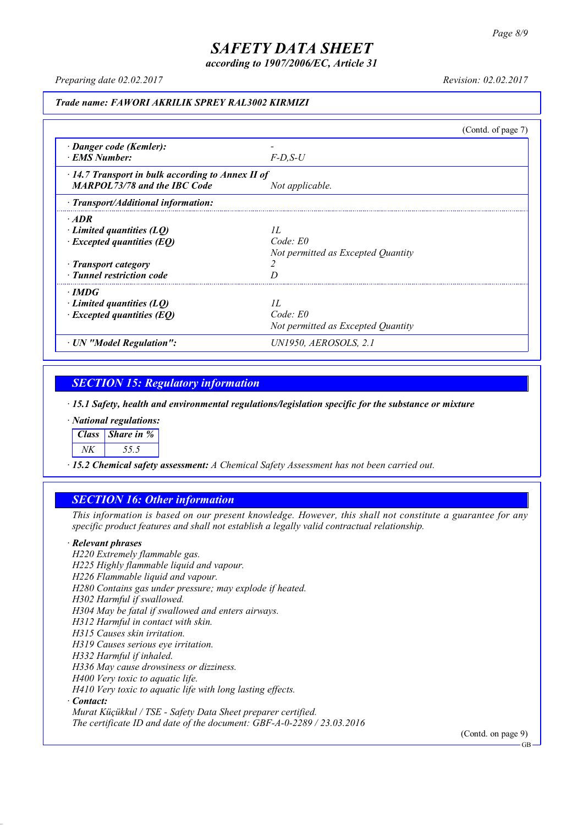*according to 1907/2006/EC, Article 31*

*Preparing date 02.02.2017 Revision: 02.02.2017*

#### *Trade name: FAWORI AKRILIK SPREY RAL3002 KIRMIZI*

|                                                                                                                                 |                                                          | (Contd. of page 7) |
|---------------------------------------------------------------------------------------------------------------------------------|----------------------------------------------------------|--------------------|
| · Danger code (Kemler):<br>· EMS Number:                                                                                        | $F$ -D.S-U                                               |                    |
| $\cdot$ 14.7 Transport in bulk according to Annex II of<br><b>MARPOL73/78 and the IBC Code</b>                                  | Not applicable.                                          |                    |
| $\cdot$ Transport/Additional information:                                                                                       |                                                          |                    |
| $\cdot$ ADR<br>Limited quantities (LO)<br>$\cdot$ Excepted quantities (EQ)<br>· Transport category<br>· Tunnel restriction code | II.<br>$Code$ $E0$<br>Not permitted as Excepted Quantity |                    |
| $\cdot$ IMDG<br>$\cdot$ Limited quantities (LQ)<br>$\cdot$ Excepted quantities (EQ)                                             | II.<br>Code: E0<br>Not permitted as Excepted Quantity    |                    |
| · UN "Model Regulation":                                                                                                        | UN1950, AEROSOLS, 2.1                                    |                    |

### *SECTION 15: Regulatory information*

*· 15.1 Safety, health and environmental regulations/legislation specific for the substance or mixture*

*· National regulations:*

*Class Share in %*

*NK 55.5*

*· 15.2 Chemical safety assessment: A Chemical Safety Assessment has not been carried out.*

#### *SECTION 16: Other information*

This information is based on our present knowledge. However, this shall not constitute a guarantee for any *specific product features and shall not establish a legally valid contractual relationship.*

#### *· Relevant phrases*

*H220 Extremely flammable gas. H225 Highly flammable liquid and vapour. H226 Flammable liquid and vapour. H280 Contains gas under pressure; may explode if heated. H302 Harmful if swallowed. H304 May be fatal if swallowed and enters airways. H312 Harmful in contact with skin. H315 Causes skin irritation. H319 Causes serious eye irritation. H332 Harmful if inhaled. H336 May cause drowsiness or dizziness. H400 Very toxic to aquatic life. H410 Very toxic to aquatic life with long lasting effects. · Contact: Murat Küçükkul / TSE - Safety Data Sheet preparer certified.*

*The certificate ID and date of the document: GBF-A-0-2289 / 23.03.2016*

(Contd. on page 9)

GB